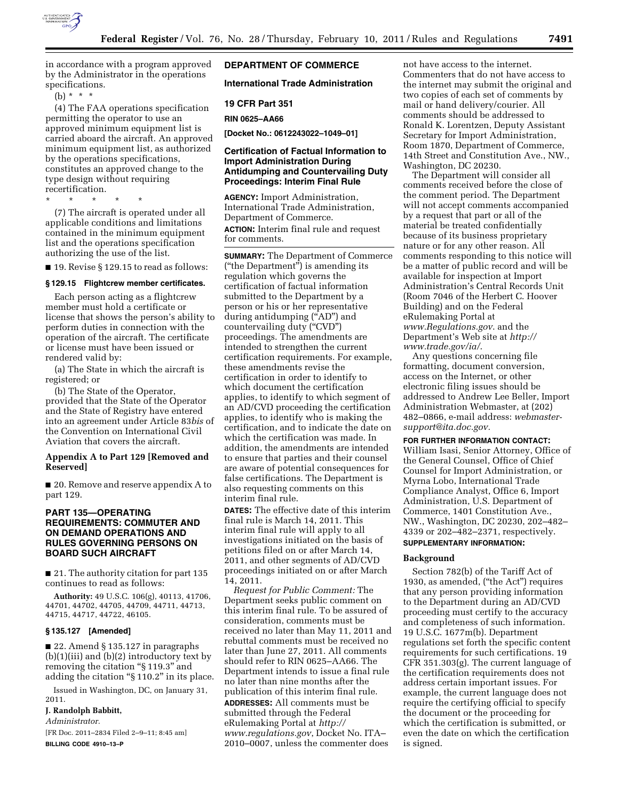

in accordance with a program approved by the Administrator in the operations specifications.

(b) \* \* \*

(4) The FAA operations specification permitting the operator to use an approved minimum equipment list is carried aboard the aircraft. An approved minimum equipment list, as authorized by the operations specifications, constitutes an approved change to the type design without requiring recertification.

\* \* \* \* \*

(7) The aircraft is operated under all applicable conditions and limitations contained in the minimum equipment list and the operations specification authorizing the use of the list.

■ 19. Revise § 129.15 to read as follows:

# **§ 129.15 Flightcrew member certificates.**

Each person acting as a flightcrew member must hold a certificate or license that shows the person's ability to perform duties in connection with the operation of the aircraft. The certificate or license must have been issued or rendered valid by:

(a) The State in which the aircraft is registered; or

(b) The State of the Operator, provided that the State of the Operator and the State of Registry have entered into an agreement under Article 83*bis* of the Convention on International Civil Aviation that covers the aircraft.

# **Appendix A to Part 129 [Removed and Reserved]**

■ 20. Remove and reserve appendix A to part 129.

# **PART 135—OPERATING REQUIREMENTS: COMMUTER AND ON DEMAND OPERATIONS AND RULES GOVERNING PERSONS ON BOARD SUCH AIRCRAFT**

■ 21. The authority citation for part 135 continues to read as follows:

**Authority:** 49 U.S.C. 106(g), 40113, 41706, 44701, 44702, 44705, 44709, 44711, 44713, 44715, 44717, 44722, 46105.

# **§ 135.127 [Amended]**

■ 22. Amend § 135.127 in paragraphs  $(b)(1)(iii)$  and  $(b)(2)$  introductory text by removing the citation "§ 119.3" and adding the citation ''§ 110.2'' in its place.

Issued in Washington, DC, on January 31, 2011.

# **J. Randolph Babbitt,**

*Administrator.* 

[FR Doc. 2011–2834 Filed 2–9–11; 8:45 am] **BILLING CODE 4910–13–P** 

# **DEPARTMENT OF COMMERCE**

# **International Trade Administration**

**19 CFR Part 351** 

#### **RIN 0625–AA66**

**[Docket No.: 0612243022–1049–01]** 

# **Certification of Factual Information to Import Administration During Antidumping and Countervailing Duty Proceedings: Interim Final Rule**

**AGENCY:** Import Administration, International Trade Administration, Department of Commerce. **ACTION:** Interim final rule and request for comments.

**SUMMARY:** The Department of Commerce (''the Department'') is amending its regulation which governs the certification of factual information submitted to the Department by a person or his or her representative during antidumping ("AD") and countervailing duty ("CVD") proceedings. The amendments are intended to strengthen the current certification requirements. For example, these amendments revise the certification in order to identify to which document the certification applies, to identify to which segment of an AD/CVD proceeding the certification applies, to identify who is making the certification, and to indicate the date on which the certification was made. In addition, the amendments are intended to ensure that parties and their counsel are aware of potential consequences for false certifications. The Department is also requesting comments on this interim final rule.

**DATES:** The effective date of this interim final rule is March 14, 2011. This interim final rule will apply to all investigations initiated on the basis of petitions filed on or after March 14, 2011, and other segments of AD/CVD proceedings initiated on or after March 14, 2011.

*Request for Public Comment:* The Department seeks public comment on this interim final rule. To be assured of consideration, comments must be received no later than May 11, 2011 and rebuttal comments must be received no later than June 27, 2011. All comments should refer to RIN 0625–AA66. The Department intends to issue a final rule no later than nine months after the publication of this interim final rule. **ADDRESSES:** All comments must be

submitted through the Federal eRulemaking Portal at *[http://](http://www.regulations.gov)  [www.regulations.gov](http://www.regulations.gov)*, Docket No. ITA– 2010–0007, unless the commenter does

not have access to the internet. Commenters that do not have access to the internet may submit the original and two copies of each set of comments by mail or hand delivery/courier. All comments should be addressed to Ronald K. Lorentzen, Deputy Assistant Secretary for Import Administration, Room 1870, Department of Commerce, 14th Street and Constitution Ave., NW., Washington, DC 20230.

The Department will consider all comments received before the close of the comment period. The Department will not accept comments accompanied by a request that part or all of the material be treated confidentially because of its business proprietary nature or for any other reason. All comments responding to this notice will be a matter of public record and will be available for inspection at Import Administration's Central Records Unit (Room 7046 of the Herbert C. Hoover Building) and on the Federal eRulemaking Portal at *[www.Regulations.gov](http://www.Regulations.gov)*. and the Department's Web site at *[http://](http://www.trade.gov/ia/)  [www.trade.gov/ia/](http://www.trade.gov/ia/)*.

Any questions concerning file formatting, document conversion, access on the Internet, or other electronic filing issues should be addressed to Andrew Lee Beller, Import Administration Webmaster, at (202) 482–0866, e-mail address: *[webmaster](mailto:webmaster-support@ita.doc.gov)[support@ita.doc.gov.](mailto:webmaster-support@ita.doc.gov)* 

# **FOR FURTHER INFORMATION CONTACT:**

William Isasi, Senior Attorney, Office of the General Counsel, Office of Chief Counsel for Import Administration, or Myrna Lobo, International Trade Compliance Analyst, Office 6, Import Administration, U.S. Department of Commerce, 1401 Constitution Ave., NW., Washington, DC 20230, 202–482– 4339 or 202–482–2371, respectively. **SUPPLEMENTARY INFORMATION:** 

# **Background**

Section 782(b) of the Tariff Act of 1930, as amended, (''the Act'') requires that any person providing information to the Department during an AD/CVD proceeding must certify to the accuracy and completeness of such information. 19 U.S.C. 1677m(b). Department regulations set forth the specific content requirements for such certifications. 19 CFR 351.303(g). The current language of the certification requirements does not address certain important issues. For example, the current language does not require the certifying official to specify the document or the proceeding for which the certification is submitted, or even the date on which the certification is signed.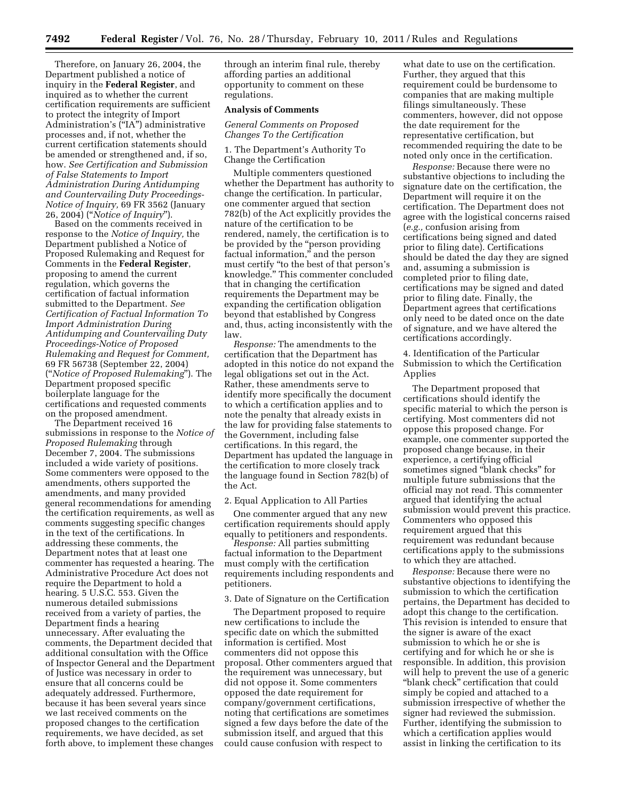Therefore, on January 26, 2004, the Department published a notice of inquiry in the **Federal Register**, and inquired as to whether the current certification requirements are sufficient to protect the integrity of Import Administration's (''IA'') administrative processes and, if not, whether the current certification statements should be amended or strengthened and, if so, how. *See Certification and Submission of False Statements to Import Administration During Antidumping and Countervailing Duty Proceedings-Notice of Inquiry,* 69 FR 3562 (January 26, 2004) (''*Notice of Inquiry*'').

Based on the comments received in response to the *Notice of Inquiry,* the Department published a Notice of Proposed Rulemaking and Request for Comments in the **Federal Register**, proposing to amend the current regulation, which governs the certification of factual information submitted to the Department. *See Certification of Factual Information To Import Administration During Antidumping and Countervailing Duty Proceedings-Notice of Proposed Rulemaking and Request for Comment,*  69 FR 56738 (September 22, 2004) (''*Notice of Proposed Rulemaking*''). The Department proposed specific boilerplate language for the certifications and requested comments on the proposed amendment.

The Department received 16 submissions in response to the *Notice of Proposed Rulemaking* through December 7, 2004. The submissions included a wide variety of positions. Some commenters were opposed to the amendments, others supported the amendments, and many provided general recommendations for amending the certification requirements, as well as comments suggesting specific changes in the text of the certifications. In addressing these comments, the Department notes that at least one commenter has requested a hearing. The Administrative Procedure Act does not require the Department to hold a hearing. 5 U.S.C. 553. Given the numerous detailed submissions received from a variety of parties, the Department finds a hearing unnecessary. After evaluating the comments, the Department decided that additional consultation with the Office of Inspector General and the Department of Justice was necessary in order to ensure that all concerns could be adequately addressed. Furthermore, because it has been several years since we last received comments on the proposed changes to the certification requirements, we have decided, as set forth above, to implement these changes

through an interim final rule, thereby affording parties an additional opportunity to comment on these regulations.

#### **Analysis of Comments**

*General Comments on Proposed Changes To the Certification* 

1. The Department's Authority To Change the Certification

Multiple commenters questioned whether the Department has authority to change the certification. In particular, one commenter argued that section 782(b) of the Act explicitly provides the nature of the certification to be rendered, namely, the certification is to be provided by the "person providing factual information," and the person must certify ''to the best of that person's knowledge.'' This commenter concluded that in changing the certification requirements the Department may be expanding the certification obligation beyond that established by Congress and, thus, acting inconsistently with the law.

*Response:* The amendments to the certification that the Department has adopted in this notice do not expand the legal obligations set out in the Act. Rather, these amendments serve to identify more specifically the document to which a certification applies and to note the penalty that already exists in the law for providing false statements to the Government, including false certifications. In this regard, the Department has updated the language in the certification to more closely track the language found in Section 782(b) of the Act.

#### 2. Equal Application to All Parties

One commenter argued that any new certification requirements should apply equally to petitioners and respondents.

*Response:* All parties submitting factual information to the Department must comply with the certification requirements including respondents and petitioners.

#### 3. Date of Signature on the Certification

The Department proposed to require new certifications to include the specific date on which the submitted information is certified. Most commenters did not oppose this proposal. Other commenters argued that the requirement was unnecessary, but did not oppose it. Some commenters opposed the date requirement for company/government certifications, noting that certifications are sometimes signed a few days before the date of the submission itself, and argued that this could cause confusion with respect to

what date to use on the certification. Further, they argued that this requirement could be burdensome to companies that are making multiple filings simultaneously. These commenters, however, did not oppose the date requirement for the representative certification, but recommended requiring the date to be noted only once in the certification.

*Response:* Because there were no substantive objections to including the signature date on the certification, the Department will require it on the certification. The Department does not agree with the logistical concerns raised (*e.g.,* confusion arising from certifications being signed and dated prior to filing date). Certifications should be dated the day they are signed and, assuming a submission is completed prior to filing date, certifications may be signed and dated prior to filing date. Finally, the Department agrees that certifications only need to be dated once on the date of signature, and we have altered the certifications accordingly.

4. Identification of the Particular Submission to which the Certification Applies

The Department proposed that certifications should identify the specific material to which the person is certifying. Most commenters did not oppose this proposed change. For example, one commenter supported the proposed change because, in their experience, a certifying official sometimes signed ''blank checks'' for multiple future submissions that the official may not read. This commenter argued that identifying the actual submission would prevent this practice. Commenters who opposed this requirement argued that this requirement was redundant because certifications apply to the submissions to which they are attached.

*Response:* Because there were no substantive objections to identifying the submission to which the certification pertains, the Department has decided to adopt this change to the certification. This revision is intended to ensure that the signer is aware of the exact submission to which he or she is certifying and for which he or she is responsible. In addition, this provision will help to prevent the use of a generic "blank check" certification that could simply be copied and attached to a submission irrespective of whether the signer had reviewed the submission. Further, identifying the submission to which a certification applies would assist in linking the certification to its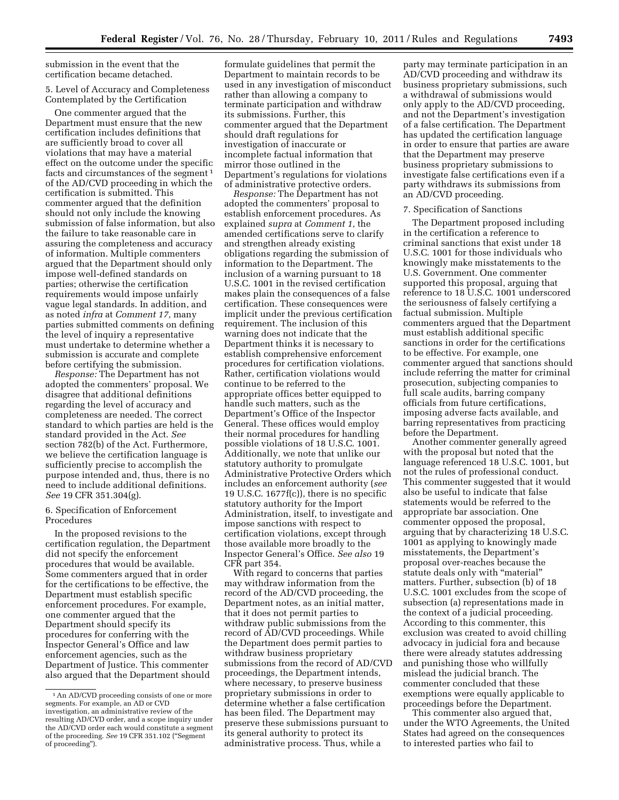submission in the event that the certification became detached.

# 5. Level of Accuracy and Completeness Contemplated by the Certification

One commenter argued that the Department must ensure that the new certification includes definitions that are sufficiently broad to cover all violations that may have a material effect on the outcome under the specific facts and circumstances of the segment<sup>1</sup> of the AD/CVD proceeding in which the certification is submitted. This commenter argued that the definition should not only include the knowing submission of false information, but also the failure to take reasonable care in assuring the completeness and accuracy of information. Multiple commenters argued that the Department should only impose well-defined standards on parties; otherwise the certification requirements would impose unfairly vague legal standards. In addition, and as noted *infra* at *Comment 17,* many parties submitted comments on defining the level of inquiry a representative must undertake to determine whether a submission is accurate and complete before certifying the submission.

*Response:* The Department has not adopted the commenters' proposal. We disagree that additional definitions regarding the level of accuracy and completeness are needed. The correct standard to which parties are held is the standard provided in the Act. *See*  section 782(b) of the Act. Furthermore, we believe the certification language is sufficiently precise to accomplish the purpose intended and, thus, there is no need to include additional definitions. *See* 19 CFR 351.304(g).

# 6. Specification of Enforcement Procedures

In the proposed revisions to the certification regulation, the Department did not specify the enforcement procedures that would be available. Some commenters argued that in order for the certifications to be effective, the Department must establish specific enforcement procedures. For example, one commenter argued that the Department should specify its procedures for conferring with the Inspector General's Office and law enforcement agencies, such as the Department of Justice. This commenter also argued that the Department should

formulate guidelines that permit the Department to maintain records to be used in any investigation of misconduct rather than allowing a company to terminate participation and withdraw its submissions. Further, this commenter argued that the Department should draft regulations for investigation of inaccurate or incomplete factual information that mirror those outlined in the Department's regulations for violations of administrative protective orders.

*Response:* The Department has not adopted the commenters' proposal to establish enforcement procedures. As explained *supra* at *Comment 1,* the amended certifications serve to clarify and strengthen already existing obligations regarding the submission of information to the Department. The inclusion of a warning pursuant to 18 U.S.C. 1001 in the revised certification makes plain the consequences of a false certification. These consequences were implicit under the previous certification requirement. The inclusion of this warning does not indicate that the Department thinks it is necessary to establish comprehensive enforcement procedures for certification violations. Rather, certification violations would continue to be referred to the appropriate offices better equipped to handle such matters, such as the Department's Office of the Inspector General. These offices would employ their normal procedures for handling possible violations of 18 U.S.C. 1001. Additionally, we note that unlike our statutory authority to promulgate Administrative Protective Orders which includes an enforcement authority (*see*  19 U.S.C. 1677f(c)), there is no specific statutory authority for the Import Administration, itself, to investigate and impose sanctions with respect to certification violations, except through those available more broadly to the Inspector General's Office. *See also* 19 CFR part 354.

With regard to concerns that parties may withdraw information from the record of the AD/CVD proceeding, the Department notes, as an initial matter, that it does not permit parties to withdraw public submissions from the record of AD/CVD proceedings. While the Department does permit parties to withdraw business proprietary submissions from the record of AD/CVD proceedings, the Department intends, where necessary, to preserve business proprietary submissions in order to determine whether a false certification has been filed. The Department may preserve these submissions pursuant to its general authority to protect its administrative process. Thus, while a

party may terminate participation in an AD/CVD proceeding and withdraw its business proprietary submissions, such a withdrawal of submissions would only apply to the AD/CVD proceeding, and not the Department's investigation of a false certification. The Department has updated the certification language in order to ensure that parties are aware that the Department may preserve business proprietary submissions to investigate false certifications even if a party withdraws its submissions from an AD/CVD proceeding.

### 7. Specification of Sanctions

The Department proposed including in the certification a reference to criminal sanctions that exist under 18 U.S.C. 1001 for those individuals who knowingly make misstatements to the U.S. Government. One commenter supported this proposal, arguing that reference to 18 U.S.C. 1001 underscored the seriousness of falsely certifying a factual submission. Multiple commenters argued that the Department must establish additional specific sanctions in order for the certifications to be effective. For example, one commenter argued that sanctions should include referring the matter for criminal prosecution, subjecting companies to full scale audits, barring company officials from future certifications, imposing adverse facts available, and barring representatives from practicing before the Department.

Another commenter generally agreed with the proposal but noted that the language referenced 18 U.S.C. 1001, but not the rules of professional conduct. This commenter suggested that it would also be useful to indicate that false statements would be referred to the appropriate bar association. One commenter opposed the proposal, arguing that by characterizing 18 U.S.C. 1001 as applying to knowingly made misstatements, the Department's proposal over-reaches because the statute deals only with "material" matters. Further, subsection (b) of 18 U.S.C. 1001 excludes from the scope of subsection (a) representations made in the context of a judicial proceeding. According to this commenter, this exclusion was created to avoid chilling advocacy in judicial fora and because there were already statutes addressing and punishing those who willfully mislead the judicial branch. The commenter concluded that these exemptions were equally applicable to proceedings before the Department.

This commenter also argued that, under the WTO Agreements, the United States had agreed on the consequences to interested parties who fail to

<sup>1</sup>An AD/CVD proceeding consists of one or more segments. For example, an AD or CVD investigation, an administrative review of the resulting AD/CVD order, and a scope inquiry under the AD/CVD order each would constitute a segment of the proceeding. *See* 19 CFR 351.102 (''Segment of proceeding'').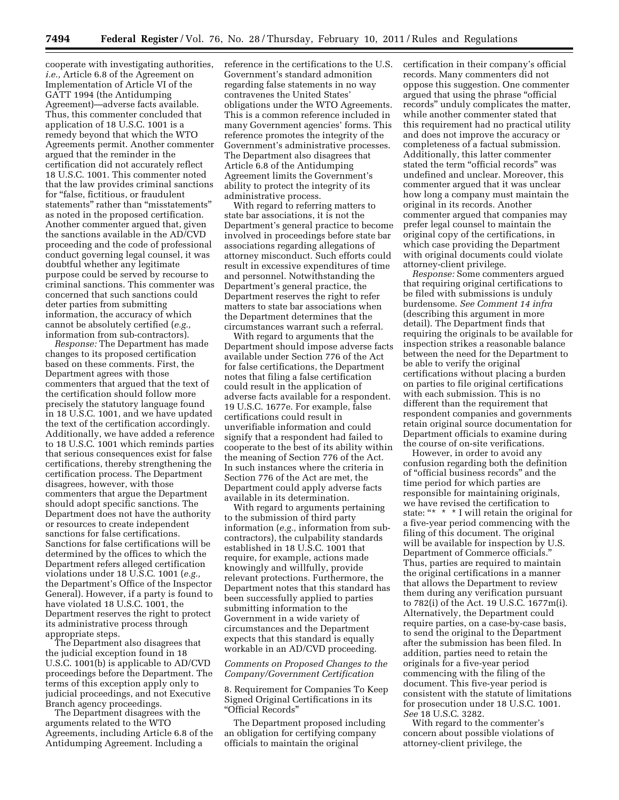cooperate with investigating authorities, *i.e.,* Article 6.8 of the Agreement on Implementation of Article VI of the GATT 1994 (the Antidumping Agreement)—adverse facts available. Thus, this commenter concluded that application of 18 U.S.C. 1001 is a remedy beyond that which the WTO Agreements permit. Another commenter argued that the reminder in the certification did not accurately reflect 18 U.S.C. 1001. This commenter noted that the law provides criminal sanctions for "false, fictitious, or fraudulent statements'' rather than ''misstatements'' as noted in the proposed certification. Another commenter argued that, given the sanctions available in the AD/CVD proceeding and the code of professional conduct governing legal counsel, it was doubtful whether any legitimate purpose could be served by recourse to criminal sanctions. This commenter was concerned that such sanctions could deter parties from submitting information, the accuracy of which cannot be absolutely certified (*e.g.,*  information from sub-contractors).

*Response:* The Department has made changes to its proposed certification based on these comments. First, the Department agrees with those commenters that argued that the text of the certification should follow more precisely the statutory language found in 18 U.S.C. 1001, and we have updated the text of the certification accordingly. Additionally, we have added a reference to 18 U.S.C. 1001 which reminds parties that serious consequences exist for false certifications, thereby strengthening the certification process. The Department disagrees, however, with those commenters that argue the Department should adopt specific sanctions. The Department does not have the authority or resources to create independent sanctions for false certifications. Sanctions for false certifications will be determined by the offices to which the Department refers alleged certification violations under 18 U.S.C. 1001 (*e.g.,*  the Department's Office of the Inspector General). However, if a party is found to have violated 18 U.S.C. 1001, the Department reserves the right to protect its administrative process through appropriate steps.

The Department also disagrees that the judicial exception found in 18 U.S.C. 1001(b) is applicable to AD/CVD proceedings before the Department. The terms of this exception apply only to judicial proceedings, and not Executive Branch agency proceedings.

The Department disagrees with the arguments related to the WTO Agreements, including Article 6.8 of the Antidumping Agreement. Including a

reference in the certifications to the U.S. Government's standard admonition regarding false statements in no way contravenes the United States' obligations under the WTO Agreements. This is a common reference included in many Government agencies' forms. This reference promotes the integrity of the Government's administrative processes. The Department also disagrees that Article 6.8 of the Antidumping Agreement limits the Government's ability to protect the integrity of its administrative process.

With regard to referring matters to state bar associations, it is not the Department's general practice to become involved in proceedings before state bar associations regarding allegations of attorney misconduct. Such efforts could result in excessive expenditures of time and personnel. Notwithstanding the Department's general practice, the Department reserves the right to refer matters to state bar associations when the Department determines that the circumstances warrant such a referral.

With regard to arguments that the Department should impose adverse facts available under Section 776 of the Act for false certifications, the Department notes that filing a false certification could result in the application of adverse facts available for a respondent. 19 U.S.C. 1677e. For example, false certifications could result in unverifiable information and could signify that a respondent had failed to cooperate to the best of its ability within the meaning of Section 776 of the Act. In such instances where the criteria in Section 776 of the Act are met, the Department could apply adverse facts available in its determination.

With regard to arguments pertaining to the submission of third party information (*e.g.,* information from subcontractors), the culpability standards established in 18 U.S.C. 1001 that require, for example, actions made knowingly and willfully, provide relevant protections. Furthermore, the Department notes that this standard has been successfully applied to parties submitting information to the Government in a wide variety of circumstances and the Department expects that this standard is equally workable in an AD/CVD proceeding.

### *Comments on Proposed Changes to the Company/Government Certification*

8. Requirement for Companies To Keep Signed Original Certifications in its ''Official Records''

The Department proposed including an obligation for certifying company officials to maintain the original

certification in their company's official records. Many commenters did not oppose this suggestion. One commenter argued that using the phrase ''official records'' unduly complicates the matter, while another commenter stated that this requirement had no practical utility and does not improve the accuracy or completeness of a factual submission. Additionally, this latter commenter stated the term "official records" was undefined and unclear. Moreover, this commenter argued that it was unclear how long a company must maintain the original in its records. Another commenter argued that companies may prefer legal counsel to maintain the original copy of the certifications, in which case providing the Department with original documents could violate attorney-client privilege.

*Response:* Some commenters argued that requiring original certifications to be filed with submissions is unduly burdensome. *See Comment 14 infra*  (describing this argument in more detail). The Department finds that requiring the originals to be available for inspection strikes a reasonable balance between the need for the Department to be able to verify the original certifications without placing a burden on parties to file original certifications with each submission. This is no different than the requirement that respondent companies and governments retain original source documentation for Department officials to examine during the course of on-site verifications.

However, in order to avoid any confusion regarding both the definition of ''official business records'' and the time period for which parties are responsible for maintaining originals, we have revised the certification to state: "\* \* \* I will retain the original for a five-year period commencing with the filing of this document. The original will be available for inspection by U.S. Department of Commerce officials.'' Thus, parties are required to maintain the original certifications in a manner that allows the Department to review them during any verification pursuant to 782(i) of the Act. 19 U.S.C. 1677m(i). Alternatively, the Department could require parties, on a case-by-case basis, to send the original to the Department after the submission has been filed. In addition, parties need to retain the originals for a five-year period commencing with the filing of the document. This five-year period is consistent with the statute of limitations for prosecution under 18 U.S.C. 1001. *See* 18 U.S.C. 3282.

With regard to the commenter's concern about possible violations of attorney-client privilege, the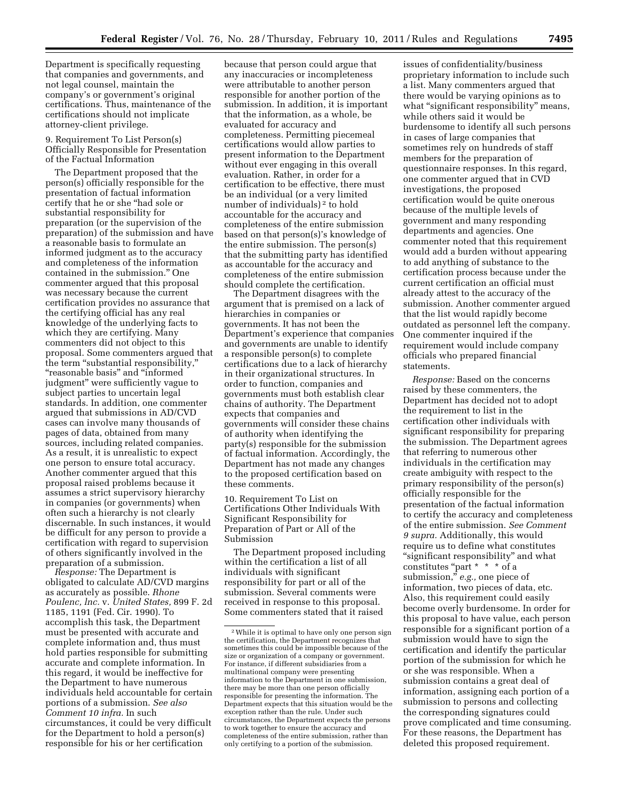Department is specifically requesting that companies and governments, and not legal counsel, maintain the company's or government's original certifications. Thus, maintenance of the certifications should not implicate attorney-client privilege.

9. Requirement To List Person(s) Officially Responsible for Presentation of the Factual Information

The Department proposed that the person(s) officially responsible for the presentation of factual information certify that he or she ''had sole or substantial responsibility for preparation (or the supervision of the preparation) of the submission and have a reasonable basis to formulate an informed judgment as to the accuracy and completeness of the information contained in the submission.'' One commenter argued that this proposal was necessary because the current certification provides no assurance that the certifying official has any real knowledge of the underlying facts to which they are certifying. Many commenters did not object to this proposal. Some commenters argued that the term "substantial responsibility," ''reasonable basis'' and ''informed judgment'' were sufficiently vague to subject parties to uncertain legal standards. In addition, one commenter argued that submissions in AD/CVD cases can involve many thousands of pages of data, obtained from many sources, including related companies. As a result, it is unrealistic to expect one person to ensure total accuracy. Another commenter argued that this proposal raised problems because it assumes a strict supervisory hierarchy in companies (or governments) when often such a hierarchy is not clearly discernable. In such instances, it would be difficult for any person to provide a certification with regard to supervision of others significantly involved in the preparation of a submission.

*Response:* The Department is obligated to calculate AD/CVD margins as accurately as possible. *Rhone Poulenc, lnc.* v. *United States,* 899 F. 2d 1185, 1191 (Fed. Cir. 1990). To accomplish this task, the Department must be presented with accurate and complete information and, thus must hold parties responsible for submitting accurate and complete information. In this regard, it would be ineffective for the Department to have numerous individuals held accountable for certain portions of a submission. *See also Comment 10 infra.* In such circumstances, it could be very difficult for the Department to hold a person(s) responsible for his or her certification

because that person could argue that any inaccuracies or incompleteness were attributable to another person responsible for another portion of the submission. In addition, it is important that the information, as a whole, be evaluated for accuracy and completeness. Permitting piecemeal certifications would allow parties to present information to the Department without ever engaging in this overall evaluation. Rather, in order for a certification to be effective, there must be an individual (or a very limited number of individuals) 2 to hold accountable for the accuracy and completeness of the entire submission based on that person(s)'s knowledge of the entire submission. The person(s) that the submitting party has identified as accountable for the accuracy and completeness of the entire submission should complete the certification.

The Department disagrees with the argument that is premised on a lack of hierarchies in companies or governments. It has not been the Department's experience that companies and governments are unable to identify a responsible person(s) to complete certifications due to a lack of hierarchy in their organizational structures. In order to function, companies and governments must both establish clear chains of authority. The Department expects that companies and governments will consider these chains of authority when identifying the party(s) responsible for the submission of factual information. Accordingly, the Department has not made any changes to the proposed certification based on these comments.

10. Requirement To List on Certifications Other Individuals With Significant Responsibility for Preparation of Part or All of the Submission

The Department proposed including within the certification a list of all individuals with significant responsibility for part or all of the submission. Several comments were received in response to this proposal. Some commenters stated that it raised

issues of confidentiality/business proprietary information to include such a list. Many commenters argued that there would be varying opinions as to what "significant responsibility" means, while others said it would be burdensome to identify all such persons in cases of large companies that sometimes rely on hundreds of staff members for the preparation of questionnaire responses. In this regard, one commenter argued that in CVD investigations, the proposed certification would be quite onerous because of the multiple levels of government and many responding departments and agencies. One commenter noted that this requirement would add a burden without appearing to add anything of substance to the certification process because under the current certification an official must already attest to the accuracy of the submission. Another commenter argued that the list would rapidly become outdated as personnel left the company. One commenter inquired if the requirement would include company officials who prepared financial statements.

*Response:* Based on the concerns raised by these commenters, the Department has decided not to adopt the requirement to list in the certification other individuals with significant responsibility for preparing the submission. The Department agrees that referring to numerous other individuals in the certification may create ambiguity with respect to the primary responsibility of the person(s) officially responsible for the presentation of the factual information to certify the accuracy and completeness of the entire submission. *See Comment 9 supra.* Additionally, this would require us to define what constitutes "significant responsibility" and what constitutes "part \* \* \* of a submission," e.g., one piece of information, two pieces of data, etc. Also, this requirement could easily become overly burdensome. In order for this proposal to have value, each person responsible for a significant portion of a submission would have to sign the certification and identify the particular portion of the submission for which he or she was responsible. When a submission contains a great deal of information, assigning each portion of a submission to persons and collecting the corresponding signatures could prove complicated and time consuming. For these reasons, the Department has deleted this proposed requirement.

<sup>2</sup>While it is optimal to have only one person sign the certification, the Department recognizes that sometimes this could be impossible because of the size or organization of a company or government. For instance, if different subsidiaries from a multinational company were presenting information to the Department in one submission, there may be more than one person officially responsible for presenting the information. The Department expects that this situation would be the exception rather than the rule. Under such circumstances, the Department expects the persons to work together to ensure the accuracy and completeness of the entire submission, rather than only certifying to a portion of the submission.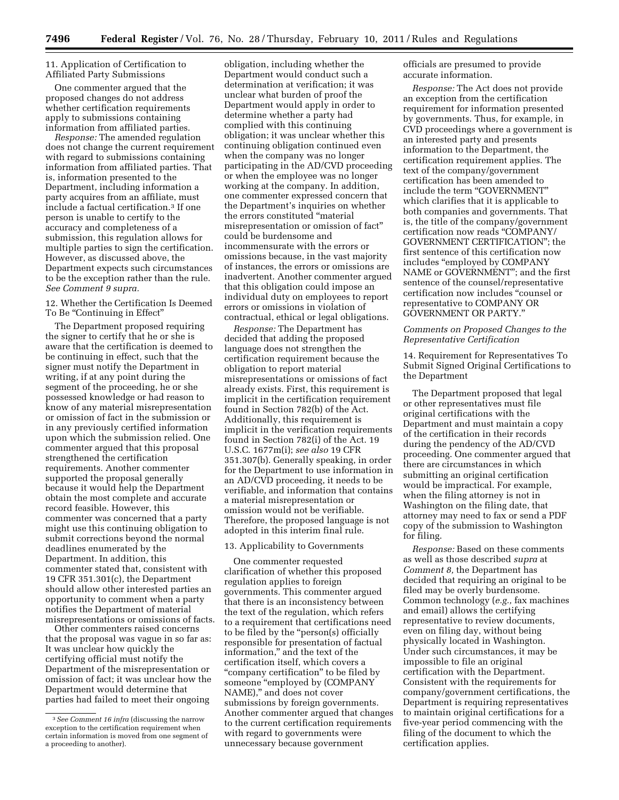# 11. Application of Certification to Affiliated Party Submissions

One commenter argued that the proposed changes do not address whether certification requirements apply to submissions containing information from affiliated parties.

*Response:* The amended regulation does not change the current requirement with regard to submissions containing information from affiliated parties. That is, information presented to the Department, including information a party acquires from an affiliate, must include a factual certification.3 If one person is unable to certify to the accuracy and completeness of a submission, this regulation allows for multiple parties to sign the certification. However, as discussed above, the Department expects such circumstances to be the exception rather than the rule. *See Comment 9 supra.* 

12. Whether the Certification Is Deemed To Be "Continuing in Effect"

The Department proposed requiring the signer to certify that he or she is aware that the certification is deemed to be continuing in effect, such that the signer must notify the Department in writing, if at any point during the segment of the proceeding, he or she possessed knowledge or had reason to know of any material misrepresentation or omission of fact in the submission or in any previously certified information upon which the submission relied. One commenter argued that this proposal strengthened the certification requirements. Another commenter supported the proposal generally because it would help the Department obtain the most complete and accurate record feasible. However, this commenter was concerned that a party might use this continuing obligation to submit corrections beyond the normal deadlines enumerated by the Department. In addition, this commenter stated that, consistent with 19 CFR 351.301(c), the Department should allow other interested parties an opportunity to comment when a party notifies the Department of material misrepresentations or omissions of facts.

Other commenters raised concerns that the proposal was vague in so far as: It was unclear how quickly the certifying official must notify the Department of the misrepresentation or omission of fact; it was unclear how the Department would determine that parties had failed to meet their ongoing

obligation, including whether the Department would conduct such a determination at verification; it was unclear what burden of proof the Department would apply in order to determine whether a party had complied with this continuing obligation; it was unclear whether this continuing obligation continued even when the company was no longer participating in the AD/CVD proceeding or when the employee was no longer working at the company. In addition, one commenter expressed concern that the Department's inquiries on whether the errors constituted ''material misrepresentation or omission of fact'' could be burdensome and incommensurate with the errors or omissions because, in the vast majority of instances, the errors or omissions are inadvertent. Another commenter argued that this obligation could impose an individual duty on employees to report errors or omissions in violation of contractual, ethical or legal obligations.

*Response:* The Department has decided that adding the proposed language does not strengthen the certification requirement because the obligation to report material misrepresentations or omissions of fact already exists. First, this requirement is implicit in the certification requirement found in Section 782(b) of the Act. Additionally, this requirement is implicit in the verification requirements found in Section 782(i) of the Act. 19 U.S.C. 1677m(i); *see also* 19 CFR 351.307(b). Generally speaking, in order for the Department to use information in an AD/CVD proceeding, it needs to be verifiable, and information that contains a material misrepresentation or omission would not be verifiable. Therefore, the proposed language is not adopted in this interim final rule.

# 13. Applicability to Governments

One commenter requested clarification of whether this proposed regulation applies to foreign governments. This commenter argued that there is an inconsistency between the text of the regulation, which refers to a requirement that certifications need to be filed by the ''person(s) officially responsible for presentation of factual information,'' and the text of the certification itself, which covers a ''company certification'' to be filed by someone ''employed by (COMPANY NAME)," and does not cover submissions by foreign governments. Another commenter argued that changes to the current certification requirements with regard to governments were unnecessary because government

officials are presumed to provide accurate information.

*Response:* The Act does not provide an exception from the certification requirement for information presented by governments. Thus, for example, in CVD proceedings where a government is an interested party and presents information to the Department, the certification requirement applies. The text of the company/government certification has been amended to include the term "GOVERNMENT" which clarifies that it is applicable to both companies and governments. That is, the title of the company/government certification now reads ''COMPANY/ GOVERNMENT CERTIFICATION''; the first sentence of this certification now includes ''employed by COMPANY NAME or GOVERNMENT''; and the first sentence of the counsel/representative certification now includes ''counsel or representative to COMPANY OR GOVERNMENT OR PARTY.''

#### *Comments on Proposed Changes to the Representative Certification*

14. Requirement for Representatives To Submit Signed Original Certifications to the Department

The Department proposed that legal or other representatives must file original certifications with the Department and must maintain a copy of the certification in their records during the pendency of the AD/CVD proceeding. One commenter argued that there are circumstances in which submitting an original certification would be impractical. For example, when the filing attorney is not in Washington on the filing date, that attorney may need to fax or send a PDF copy of the submission to Washington for filing.

*Response:* Based on these comments as well as those described *supra* at *Comment 8,* the Department has decided that requiring an original to be filed may be overly burdensome. Common technology (*e.g.,* fax machines and email) allows the certifying representative to review documents, even on filing day, without being physically located in Washington. Under such circumstances, it may be impossible to file an original certification with the Department. Consistent with the requirements for company/government certifications, the Department is requiring representatives to maintain original certifications for a five-year period commencing with the filing of the document to which the certification applies.

<sup>3</sup>*See Comment 16 infra* (discussing the narrow exception to the certification requirement when certain information is moved from one segment of a proceeding to another).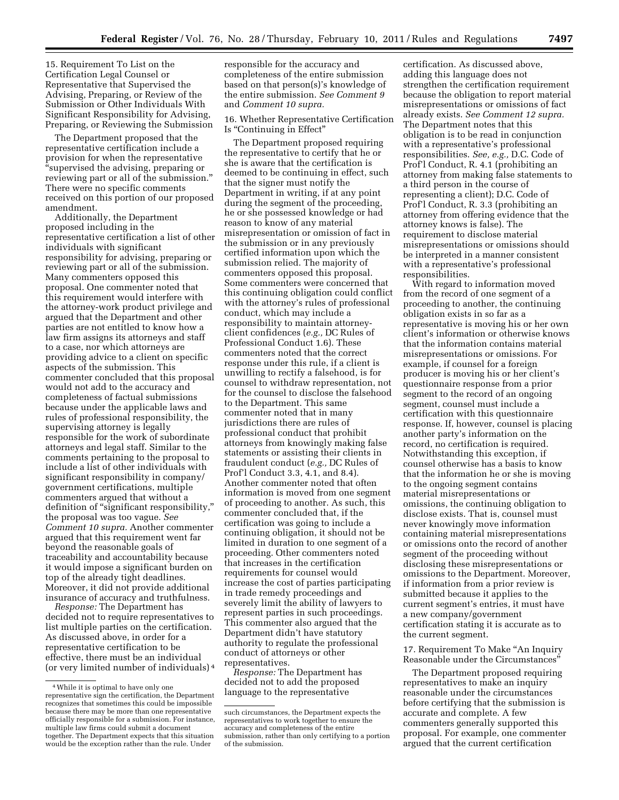15. Requirement To List on the Certification Legal Counsel or Representative that Supervised the Advising, Preparing, or Review of the Submission or Other Individuals With Significant Responsibility for Advising, Preparing, or Reviewing the Submission

The Department proposed that the representative certification include a provision for when the representative ''supervised the advising, preparing or reviewing part or all of the submission.'' There were no specific comments received on this portion of our proposed amendment.

Additionally, the Department proposed including in the representative certification a list of other individuals with significant responsibility for advising, preparing or reviewing part or all of the submission. Many commenters opposed this proposal. One commenter noted that this requirement would interfere with the attorney-work product privilege and argued that the Department and other parties are not entitled to know how a law firm assigns its attorneys and staff to a case, nor which attorneys are providing advice to a client on specific aspects of the submission. This commenter concluded that this proposal would not add to the accuracy and completeness of factual submissions because under the applicable laws and rules of professional responsibility, the supervising attorney is legally responsible for the work of subordinate attorneys and legal staff. Similar to the comments pertaining to the proposal to include a list of other individuals with significant responsibility in company/ government certifications, multiple commenters argued that without a definition of "significant responsibility," the proposal was too vague. *See Comment 10 supra.* Another commenter argued that this requirement went far beyond the reasonable goals of traceability and accountability because it would impose a significant burden on top of the already tight deadlines. Moreover, it did not provide additional insurance of accuracy and truthfulness.

*Response:* The Department has decided not to require representatives to list multiple parties on the certification. As discussed above, in order for a representative certification to be effective, there must be an individual (or very limited number of individuals) 4 responsible for the accuracy and completeness of the entire submission based on that person(s)'s knowledge of the entire submission. *See Comment 9*  and *Comment 10 supra.* 

16. Whether Representative Certification Is ''Continuing in Effect''

The Department proposed requiring the representative to certify that he or she is aware that the certification is deemed to be continuing in effect, such that the signer must notify the Department in writing, if at any point during the segment of the proceeding, he or she possessed knowledge or had reason to know of any material misrepresentation or omission of fact in the submission or in any previously certified information upon which the submission relied. The majority of commenters opposed this proposal. Some commenters were concerned that this continuing obligation could conflict with the attorney's rules of professional conduct, which may include a responsibility to maintain attorneyclient confidences (*e.g.,* DC Rules of Professional Conduct 1.6). These commenters noted that the correct response under this rule, if a client is unwilling to rectify a falsehood, is for counsel to withdraw representation, not for the counsel to disclose the falsehood to the Department. This same commenter noted that in many jurisdictions there are rules of professional conduct that prohibit attorneys from knowingly making false statements or assisting their clients in fraudulent conduct (*e.g.,* DC Rules of Prof'l Conduct 3.3, 4.1, and 8.4). Another commenter noted that often information is moved from one segment of proceeding to another. As such, this commenter concluded that, if the certification was going to include a continuing obligation, it should not be limited in duration to one segment of a proceeding. Other commenters noted that increases in the certification requirements for counsel would increase the cost of parties participating in trade remedy proceedings and severely limit the ability of lawyers to represent parties in such proceedings. This commenter also argued that the Department didn't have statutory authority to regulate the professional conduct of attorneys or other representatives.

*Response:* The Department has decided not to add the proposed language to the representative

certification. As discussed above, adding this language does not strengthen the certification requirement because the obligation to report material misrepresentations or omissions of fact already exists. *See Comment 12 supra.*  The Department notes that this obligation is to be read in conjunction with a representative's professional responsibilities. *See, e.g.,* D.C. Code of Prof'l Conduct, R. 4.1 (prohibiting an attorney from making false statements to a third person in the course of representing a client); D.C. Code of Prof'l Conduct, R. 3.3 (prohibiting an attorney from offering evidence that the attorney knows is false). The requirement to disclose material misrepresentations or omissions should be interpreted in a manner consistent with a representative's professional responsibilities.

With regard to information moved from the record of one segment of a proceeding to another, the continuing obligation exists in so far as a representative is moving his or her own client's information or otherwise knows that the information contains material misrepresentations or omissions. For example, if counsel for a foreign producer is moving his or her client's questionnaire response from a prior segment to the record of an ongoing segment, counsel must include a certification with this questionnaire response. If, however, counsel is placing another party's information on the record, no certification is required. Notwithstanding this exception, if counsel otherwise has a basis to know that the information he or she is moving to the ongoing segment contains material misrepresentations or omissions, the continuing obligation to disclose exists. That is, counsel must never knowingly move information containing material misrepresentations or omissions onto the record of another segment of the proceeding without disclosing these misrepresentations or omissions to the Department. Moreover, if information from a prior review is submitted because it applies to the current segment's entries, it must have a new company/government certification stating it is accurate as to the current segment.

17. Requirement To Make "An Inquiry Reasonable under the Circumstances''

The Department proposed requiring representatives to make an inquiry reasonable under the circumstances before certifying that the submission is accurate and complete. A few commenters generally supported this proposal. For example, one commenter argued that the current certification

<sup>4</sup>While it is optimal to have only one representative sign the certification, the Department recognizes that sometimes this could be impossible because there may be more than one representative officially responsible for a submission. For instance, multiple law firms could submit a document together. The Department expects that this situation would be the exception rather than the rule. Under

such circumstances, the Department expects the representatives to work together to ensure the accuracy and completeness of the entire submission, rather than only certifying to a portion of the submission.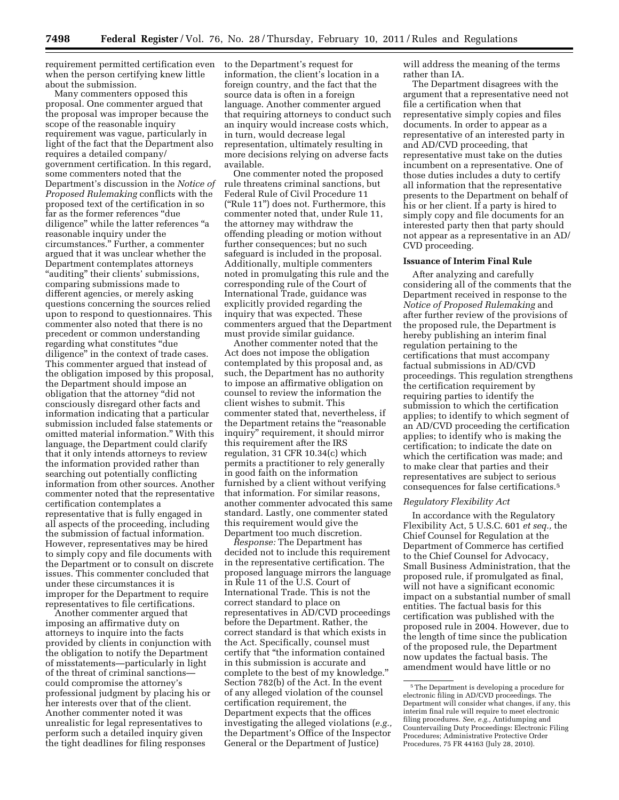requirement permitted certification even to the Department's request for when the person certifying knew little about the submission.

Many commenters opposed this proposal. One commenter argued that the proposal was improper because the scope of the reasonable inquiry requirement was vague, particularly in light of the fact that the Department also requires a detailed company/ government certification. In this regard, some commenters noted that the Department's discussion in the *Notice of Proposed Rulemaking* conflicts with the proposed text of the certification in so far as the former references ''due diligence'' while the latter references ''a reasonable inquiry under the circumstances.'' Further, a commenter argued that it was unclear whether the Department contemplates attorneys "auditing" their clients' submissions, comparing submissions made to different agencies, or merely asking questions concerning the sources relied upon to respond to questionnaires. This commenter also noted that there is no precedent or common understanding regarding what constitutes ''due diligence'' in the context of trade cases. This commenter argued that instead of the obligation imposed by this proposal, the Department should impose an obligation that the attorney ''did not consciously disregard other facts and information indicating that a particular submission included false statements or omitted material information.'' With this language, the Department could clarify that it only intends attorneys to review the information provided rather than searching out potentially conflicting information from other sources. Another commenter noted that the representative certification contemplates a representative that is fully engaged in all aspects of the proceeding, including the submission of factual information. However, representatives may be hired to simply copy and file documents with the Department or to consult on discrete issues. This commenter concluded that under these circumstances it is improper for the Department to require representatives to file certifications.

Another commenter argued that imposing an affirmative duty on attorneys to inquire into the facts provided by clients in conjunction with the obligation to notify the Department of misstatements—particularly in light of the threat of criminal sanctions could compromise the attorney's professional judgment by placing his or her interests over that of the client. Another commenter noted it was unrealistic for legal representatives to perform such a detailed inquiry given the tight deadlines for filing responses

information, the client's location in a foreign country, and the fact that the source data is often in a foreign language. Another commenter argued that requiring attorneys to conduct such an inquiry would increase costs which, in turn, would decrease legal representation, ultimately resulting in more decisions relying on adverse facts available.

One commenter noted the proposed rule threatens criminal sanctions, but Federal Rule of Civil Procedure 11 (''Rule 11'') does not. Furthermore, this commenter noted that, under Rule 11, the attorney may withdraw the offending pleading or motion without further consequences; but no such safeguard is included in the proposal. Additionally, multiple commenters noted in promulgating this rule and the corresponding rule of the Court of International Trade, guidance was explicitly provided regarding the inquiry that was expected. These commenters argued that the Department must provide similar guidance.

Another commenter noted that the Act does not impose the obligation contemplated by this proposal and, as such, the Department has no authority to impose an affirmative obligation on counsel to review the information the client wishes to submit. This commenter stated that, nevertheless, if the Department retains the ''reasonable inquiry'' requirement, it should mirror this requirement after the IRS regulation, 31 CFR 10.34(c) which permits a practitioner to rely generally in good faith on the information furnished by a client without verifying that information. For similar reasons, another commenter advocated this same standard. Lastly, one commenter stated this requirement would give the Department too much discretion.

*Response:* The Department has decided not to include this requirement in the representative certification. The proposed language mirrors the language in Rule 11 of the U.S. Court of International Trade. This is not the correct standard to place on representatives in AD/CVD proceedings before the Department. Rather, the correct standard is that which exists in the Act. Specifically, counsel must certify that ''the information contained in this submission is accurate and complete to the best of my knowledge.'' Section 782(b) of the Act. In the event of any alleged violation of the counsel certification requirement, the Department expects that the offices investigating the alleged violations (*e.g.,*  the Department's Office of the Inspector General or the Department of Justice)

will address the meaning of the terms rather than IA.

The Department disagrees with the argument that a representative need not file a certification when that representative simply copies and files documents. In order to appear as a representative of an interested party in and AD/CVD proceeding, that representative must take on the duties incumbent on a representative. One of those duties includes a duty to certify all information that the representative presents to the Department on behalf of his or her client. If a party is hired to simply copy and file documents for an interested party then that party should not appear as a representative in an AD/ CVD proceeding.

#### **Issuance of Interim Final Rule**

After analyzing and carefully considering all of the comments that the Department received in response to the *Notice of Proposed Rulemaking* and after further review of the provisions of the proposed rule, the Department is hereby publishing an interim final regulation pertaining to the certifications that must accompany factual submissions in AD/CVD proceedings. This regulation strengthens the certification requirement by requiring parties to identify the submission to which the certification applies; to identify to which segment of an AD/CVD proceeding the certification applies; to identify who is making the certification; to indicate the date on which the certification was made; and to make clear that parties and their representatives are subject to serious consequences for false certifications.5

#### *Regulatory Flexibility Act*

In accordance with the Regulatory Flexibility Act, 5 U.S.C. 601 *et seq.,* the Chief Counsel for Regulation at the Department of Commerce has certified to the Chief Counsel for Advocacy, Small Business Administration, that the proposed rule, if promulgated as final, will not have a significant economic impact on a substantial number of small entities. The factual basis for this certification was published with the proposed rule in 2004. However, due to the length of time since the publication of the proposed rule, the Department now updates the factual basis. The amendment would have little or no

<sup>5</sup>The Department is developing a procedure for electronic filing in AD/CVD proceedings. The Department will consider what changes, if any, this interim final rule will require to meet electronic filing procedures. *See, e.g.,* Antidumping and Countervailing Duty Proceedings: Electronic Filing Procedures; Administrative Protective Order Procedures, 75 FR 44163 (July 28, 2010).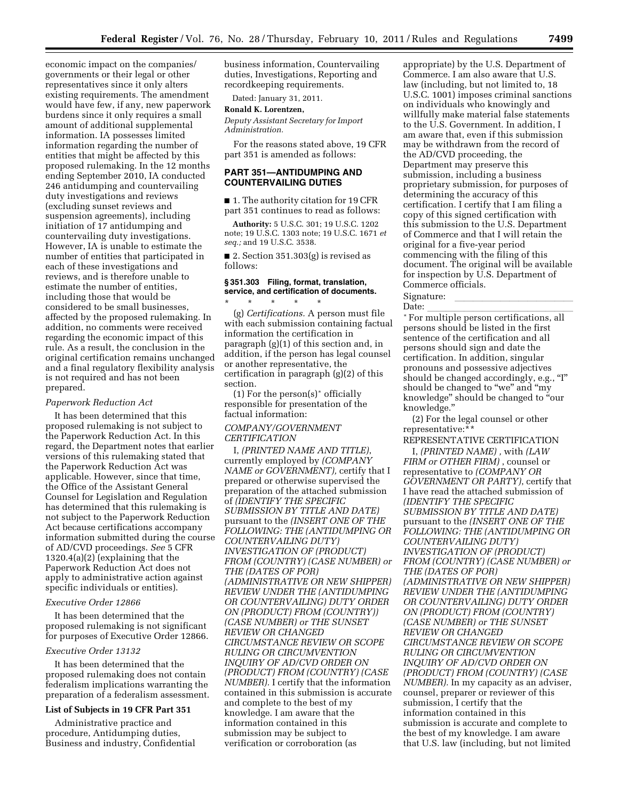economic impact on the companies/ governments or their legal or other representatives since it only alters existing requirements. The amendment would have few, if any, new paperwork burdens since it only requires a small amount of additional supplemental information. IA possesses limited information regarding the number of entities that might be affected by this proposed rulemaking. In the 12 months ending September 2010, IA conducted 246 antidumping and countervailing duty investigations and reviews (excluding sunset reviews and suspension agreements), including initiation of 17 antidumping and countervailing duty investigations. However, IA is unable to estimate the number of entities that participated in each of these investigations and reviews, and is therefore unable to estimate the number of entities, including those that would be considered to be small businesses, affected by the proposed rulemaking. In addition, no comments were received regarding the economic impact of this rule. As a result, the conclusion in the original certification remains unchanged and a final regulatory flexibility analysis is not required and has not been prepared.

#### *Paperwork Reduction Act*

It has been determined that this proposed rulemaking is not subject to the Paperwork Reduction Act. In this regard, the Department notes that earlier versions of this rulemaking stated that the Paperwork Reduction Act was applicable. However, since that time, the Office of the Assistant General Counsel for Legislation and Regulation has determined that this rulemaking is not subject to the Paperwork Reduction Act because certifications accompany information submitted during the course of AD/CVD proceedings. *See* 5 CFR 1320.4(a)(2) (explaining that the Paperwork Reduction Act does not apply to administrative action against specific individuals or entities).

#### *Executive Order 12866*

It has been determined that the proposed rulemaking is not significant for purposes of Executive Order 12866.

# *Executive Order 13132*

It has been determined that the proposed rulemaking does not contain federalism implications warranting the preparation of a federalism assessment.

# **List of Subjects in 19 CFR Part 351**

Administrative practice and procedure, Antidumping duties, Business and industry, Confidential business information, Countervailing duties, Investigations, Reporting and recordkeeping requirements.

Dated: January 31, 2011.

# **Ronald K. Lorentzen,**

*Deputy Assistant Secretary for Import Administration.* 

For the reasons stated above, 19 CFR part 351 is amended as follows:

# **PART 351—ANTIDUMPING AND COUNTERVAILING DUTIES**

■ 1. The authority citation for 19 CFR part 351 continues to read as follows:

**Authority:** 5 U.S.C. 301; 19 U.S.C. 1202 note; 19 U.S.C. 1303 note; 19 U.S.C. 1671 *et seq.;* and 19 U.S.C. 3538.

■ 2. Section  $351.303(g)$  is revised as follows:

### **§ 351.303 Filing, format, translation, service, and certification of documents.**  \* \* \* \* \*

(g) *Certifications.* A person must file with each submission containing factual information the certification in paragraph (g)(1) of this section and, in addition, if the person has legal counsel or another representative, the certification in paragraph (g)(2) of this section.

(1) For the person(s)\* officially responsible for presentation of the factual information:

# *COMPANY/GOVERNMENT CERTIFICATION*

I, *(PRINTED NAME AND TITLE)*, currently employed by *(COMPANY NAME or GOVERNMENT),* certify that I prepared or otherwise supervised the preparation of the attached submission of *(IDENTIFY THE SPECIFIC SUBMISSION BY TITLE AND DATE)*  pursuant to the *(INSERT ONE OF THE FOLLOWING: THE (ANTIDUMPING OR COUNTERVAILING DUTY) INVESTIGATION OF (PRODUCT) FROM (COUNTRY) (CASE NUMBER) or THE (DATES OF POR) (ADMINISTRATIVE OR NEW SHIPPER) REVIEW UNDER THE (ANTIDUMPING OR COUNTERVAILING) DUTY ORDER ON (PRODUCT) FROM (COUNTRY)) (CASE NUMBER) or THE SUNSET REVIEW OR CHANGED CIRCUMSTANCE REVIEW OR SCOPE RULING OR CIRCUMVENTION INQUIRY OF AD/CVD ORDER ON (PRODUCT) FROM (COUNTRY) (CASE NUMBER).* I certify that the information contained in this submission is accurate and complete to the best of my knowledge. I am aware that the information contained in this submission may be subject to verification or corroboration (as

appropriate) by the U.S. Department of Commerce. I am also aware that U.S. law (including, but not limited to, 18 U.S.C. 1001) imposes criminal sanctions on individuals who knowingly and willfully make material false statements to the U.S. Government. In addition, I am aware that, even if this submission may be withdrawn from the record of the AD/CVD proceeding, the Department may preserve this submission, including a business proprietary submission, for purposes of determining the accuracy of this certification. I certify that I am filing a copy of this signed certification with this submission to the U.S. Department of Commerce and that I will retain the original for a five-year period commencing with the filing of this document. The original will be available for inspection by U.S. Department of Commerce officials.

Signature:<br>Date:

\* For multiple person certifications, all persons should be listed in the first sentence of the certification and all persons should sign and date the certification. In addition, singular pronouns and possessive adjectives should be changed accordingly, e.g., "I" should be changed to "we" and "my knowledge'' should be changed to ''our knowledge.''

(2) For the legal counsel or other representative:\*\*

REPRESENTATIVE CERTIFICATION I, *(PRINTED NAME) ,* with *(LAW* 

*FIRM or OTHER FIRM)* , counsel or representative to *(COMPANY OR GOVERNMENT OR PARTY)*, certify that I have read the attached submission of *(IDENTIFY THE SPECIFIC SUBMISSION BY TITLE AND DATE)*  pursuant to the *(INSERT ONE OF THE FOLLOWING: THE (ANTIDUMPING OR COUNTERVAILING DUTY) INVESTIGATION OF (PRODUCT) FROM (COUNTRY) (CASE NUMBER) or THE (DATES OF POR) (ADMINISTRATIVE OR NEW SHIPPER) REVIEW UNDER THE (ANTIDUMPING OR COUNTERVAILING) DUTY ORDER ON (PRODUCT) FROM (COUNTRY) (CASE NUMBER) or THE SUNSET REVIEW OR CHANGED CIRCUMSTANCE REVIEW OR SCOPE RULING OR CIRCUMVENTION INQUIRY OF AD/CVD ORDER ON (PRODUCT) FROM (COUNTRY) (CASE NUMBER).* In my capacity as an adviser, counsel, preparer or reviewer of this submission, I certify that the information contained in this submission is accurate and complete to the best of my knowledge. I am aware that U.S. law (including, but not limited